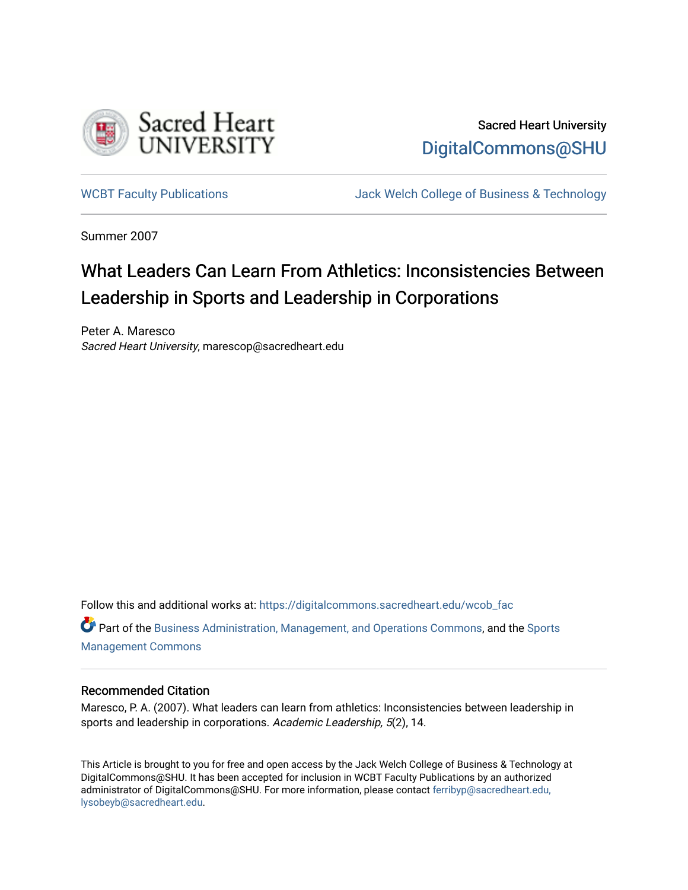

Sacred Heart University [DigitalCommons@SHU](https://digitalcommons.sacredheart.edu/) 

[WCBT Faculty Publications](https://digitalcommons.sacredheart.edu/wcob_fac) **MEGAL SERVINGS** Jack Welch College of Business & Technology

Summer 2007

## What Leaders Can Learn From Athletics: Inconsistencies Between Leadership in Sports and Leadership in Corporations

Peter A. Maresco Sacred Heart University, marescop@sacredheart.edu

Follow this and additional works at: [https://digitalcommons.sacredheart.edu/wcob\\_fac](https://digitalcommons.sacredheart.edu/wcob_fac?utm_source=digitalcommons.sacredheart.edu%2Fwcob_fac%2F243&utm_medium=PDF&utm_campaign=PDFCoverPages)

Part of the [Business Administration, Management, and Operations Commons](http://network.bepress.com/hgg/discipline/623?utm_source=digitalcommons.sacredheart.edu%2Fwcob_fac%2F243&utm_medium=PDF&utm_campaign=PDFCoverPages), and the [Sports](http://network.bepress.com/hgg/discipline/1193?utm_source=digitalcommons.sacredheart.edu%2Fwcob_fac%2F243&utm_medium=PDF&utm_campaign=PDFCoverPages)  [Management Commons](http://network.bepress.com/hgg/discipline/1193?utm_source=digitalcommons.sacredheart.edu%2Fwcob_fac%2F243&utm_medium=PDF&utm_campaign=PDFCoverPages)

## Recommended Citation

Maresco, P. A. (2007). What leaders can learn from athletics: Inconsistencies between leadership in sports and leadership in corporations. Academic Leadership, 5(2), 14.

This Article is brought to you for free and open access by the Jack Welch College of Business & Technology at DigitalCommons@SHU. It has been accepted for inclusion in WCBT Faculty Publications by an authorized administrator of DigitalCommons@SHU. For more information, please contact [ferribyp@sacredheart.edu,](mailto:ferribyp@sacredheart.edu,%20lysobeyb@sacredheart.edu) [lysobeyb@sacredheart.edu](mailto:ferribyp@sacredheart.edu,%20lysobeyb@sacredheart.edu).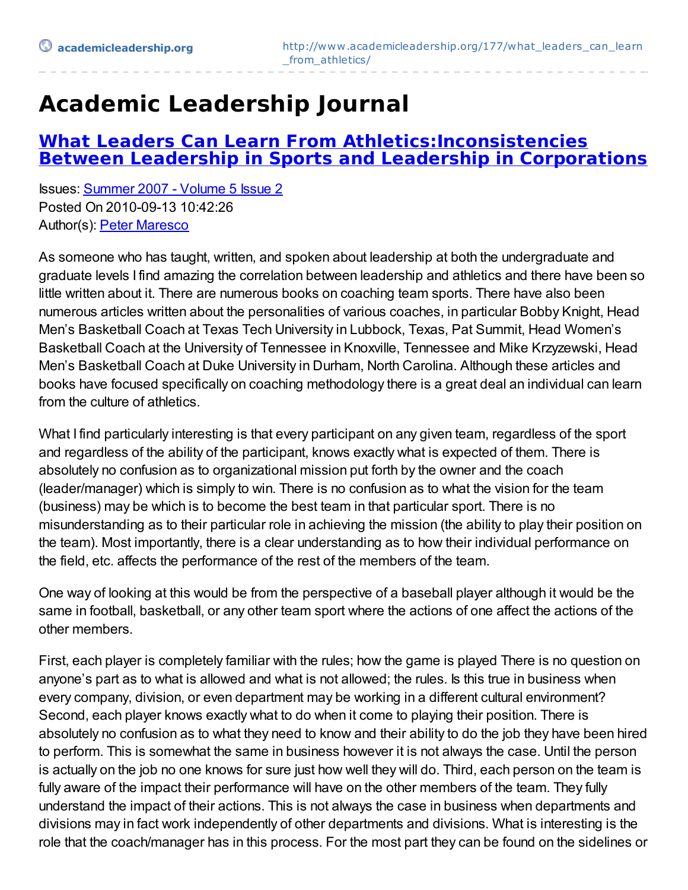## **Academic Leadership Journal**

## **What Leaders Can Learn From [Athletics:Inconsistencies](http://www.academicleadership.org/177/what_leaders_can_learn_from_athletics/) Between Leadership in Sports and Leadership in Corporations**

Issues: [Summer](http://www.academicleadership.org/issue/summer-2007/) 2007 - Volume 5 Issue 2 Posted On 2010-09-13 10:42:26 Author(s): Peter [Maresco](http://www.academicleadership.org/author/pmaresco1071/)

As someone who has taught, written, and spoken about leadership at both the undergraduate and graduate levels I find amazing the correlation between leadership and athletics and there have been so little written about it. There are numerous books on coaching team sports. There have also been numerous articles written about the personalities of various coaches, in particular Bobby Knight, Head Men's Basketball Coach at Texas Tech University in Lubbock, Texas, Pat Summit, Head Women's Basketball Coach at the University of Tennessee in Knoxville, Tennessee and Mike Krzyzewski, Head Men's Basketball Coach at Duke University in Durham, North Carolina. Although these articles and books have focused specifically on coaching methodology there is a great deal an individual can learn from the culture of athletics.

What I find particularly interesting is that every participant on any given team, regardless of the sport and regardless of the ability of the participant, knows exactly what is expected of them. There is absolutely no confusion as to organizational mission put forth by the owner and the coach (leader/manager) which is simply to win. There is no confusion as to what the vision for the team (business) may be which is to become the best team in that particular sport. There is no misunderstanding as to their particular role in achieving the mission (the ability to play their position on the team). Most importantly, there is a clear understanding as to how their individual performance on the field, etc. affects the performance of the rest of the members of the team.

One way of looking at this would be from the perspective of a baseball player although it would be the same in football, basketball, or any other team sport where the actions of one affect the actions of the other members.

First, each player is completely familiar with the rules; how the game is played There is no question on anyone's part as to what is allowed and what is not allowed; the rules. Is this true in business when every company, division, or even department may be working in a different cultural environment? Second, each player knows exactly what to do when it come to playing their position. There is absolutely no confusion as to what they need to know and their ability to do the job they have been hired to perform. This is somewhat the same in business however it is not always the case. Until the person is actually on the job no one knows for sure just how well they will do. Third, each person on the team is fully aware of the impact their performance will have on the other members of the team. They fully understand the impact of their actions. This is not always the case in business when departments and divisions may in fact work independently of other departments and divisions. What is interesting is the role that the coach/manager has in this process. For the most part they can be found on the sidelines or